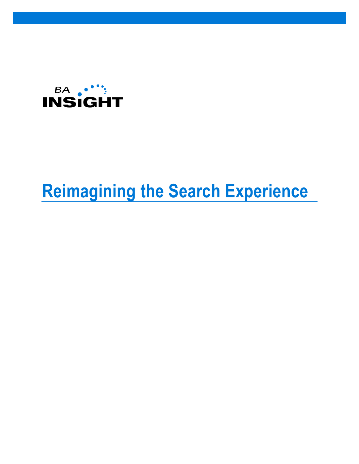

# **Reimagining the Search Experience**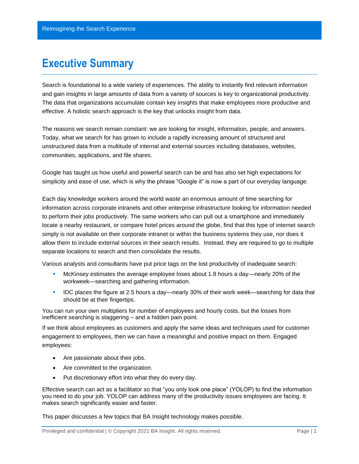### **Executive Summary**

Search is foundational to a wide variety of experiences. The ability to instantly find relevant information and gain insights in large amounts of data from a variety of sources is key to organizational productivity. The data that organizations accumulate contain key insights that make employees more productive and effective. A holistic search approach is the key that unlocks insight from data.

The reasons we search remain constant: we are looking for insight, information, people, and answers. Today, what we search for has grown to include a rapidly increasing amount of structured and unstructured data from a multitude of internal and external sources including databases, websites, communities, applications, and file shares.

Google has taught us how useful and powerful search can be and has also set high expectations for simplicity and ease of use, which is why the phrase "Google it" is now a part of our everyday language.

Each day knowledge workers around the world waste an enormous amount of time searching for information across corporate intranets and other enterprise infrastructure looking for information needed to perform their jobs productively. The same workers who can pull out a smartphone and immediately locate a nearby restaurant, or compare hotel prices around the globe, find that this type of internet search simply is not available on their corporate intranet or within the business systems they use, nor does it allow them to include external sources in their search results. Instead, they are required to go to multiple separate locations to search and then consolidate the results.

Various analysts and consultants have put price tags on the lost productivity of inadequate search:

- McKinsey estimates the average employee loses about 1.8 hours a day—nearly 20% of the workweek—searching and gathering information.
- IDC places the figure at 2.5 hours a day—nearly 30% of their work week—searching for data that should be at their fingertips.

You can run your own multipliers for number of employees and hourly costs, but the losses from inefficient searching is staggering – and a hidden pain point.

If we think about employees as customers and apply the same ideas and techniques used for customer engagement to employees, then we can have a meaningful and positive impact on them. Engaged employees:

- Are passionate about their jobs.
- Are committed to the organization.
- Put discretionary effort into what they do every day.

Effective search can act as a facilitator so that "you only look one place" (YOLOP) to find the information you need to do your job. YOLOP can address many of the productivity issues employees are facing. It makes search significantly easier and faster.

This paper discusses a few topics that BA Insight technology makes possible.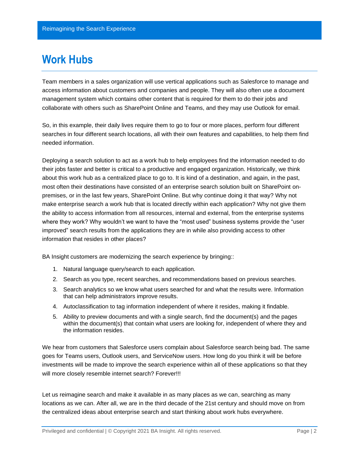### **Work Hubs**

Team members in a sales organization will use vertical applications such as Salesforce to manage and access information about customers and companies and people. They will also often use a document management system which contains other content that is required for them to do their jobs and collaborate with others such as SharePoint Online and Teams, and they may use Outlook for email.

So, in this example, their daily lives require them to go to four or more places, perform four different searches in four different search locations, all with their own features and capabilities, to help them find needed information.

Deploying a search solution to act as a work hub to help employees find the information needed to do their jobs faster and better is critical to a productive and engaged organization. Historically, we think about this work hub as a centralized place to go to. It is kind of a destination, and again, in the past, most often their destinations have consisted of an enterprise search solution built on SharePoint onpremises, or in the last few years, SharePoint Online. But why continue doing it that way? Why not make enterprise search a work hub that is located directly within each application? Why not give them the ability to access information from all resources, internal and external, from the enterprise systems where they work? Why wouldn't we want to have the "most used" business systems provide the "user improved" search results from the applications they are in while also providing access to other information that resides in other places?

BA Insight customers are modernizing the search experience by bringing::

- 1. Natural language query/search to each application.
- 2. Search as you type, recent searches, and recommendations based on previous searches.
- 3. Search analytics so we know what users searched for and what the results were. Information that can help administrators improve results.
- 4. Autoclassification to tag information independent of where it resides, making it findable.
- 5. Ability to preview documents and with a single search, find the document(s) and the pages within the document(s) that contain what users are looking for, independent of where they and the information resides.

We hear from customers that Salesforce users complain about Salesforce search being bad. The same goes for Teams users, Outlook users, and ServiceNow users. How long do you think it will be before investments will be made to improve the search experience within all of these applications so that they will more closely resemble internet search? Forever!!!

Let us reimagine search and make it available in as many places as we can, searching as many locations as we can. After all, we are in the third decade of the 21st century and should move on from the centralized ideas about enterprise search and start thinking about work hubs everywhere.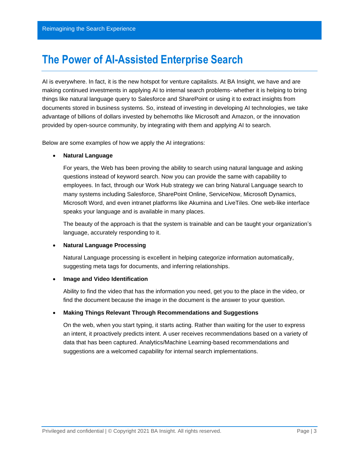## **The Power of AI-Assisted Enterprise Search**

AI is everywhere. In fact, it is the new hotspot for venture capitalists. At BA Insight, we have and are making continued investments in applying AI to internal search problems- whether it is helping to bring things like natural language query to Salesforce and SharePoint or using it to extract insights from documents stored in business systems. So, instead of investing in developing AI technologies, we take advantage of billions of dollars invested by behemoths like Microsoft and Amazon, or the innovation provided by open-source community, by integrating with them and applying AI to search.

Below are some examples of how we apply the AI integrations:

#### • **Natural Language**

For years, the Web has been proving the ability to search using natural language and asking questions instead of keyword search. Now you can provide the same with capability to employees. In fact, through our Work Hub strategy we can bring Natural Language search to many systems including Salesforce, SharePoint Online, ServiceNow, Microsoft Dynamics, Microsoft Word, and even intranet platforms like Akumina and LiveTiles. One web-like interface speaks your language and is available in many places.

The beauty of the approach is that the system is trainable and can be taught your organization's language, accurately responding to it.

#### • **Natural Language Processing**

Natural Language processing is excellent in helping categorize information automatically, suggesting meta tags for documents, and inferring relationships.

#### • **Image and Video Identification**

Ability to find the video that has the information you need, get you to the place in the video, or find the document because the image in the document is the answer to your question.

#### • **Making Things Relevant Through Recommendations and Suggestions**

On the web, when you start typing, it starts acting. Rather than waiting for the user to express an intent, it proactively predicts intent. A user receives recommendations based on a variety of data that has been captured. Analytics/Machine Learning-based recommendations and suggestions are a welcomed capability for internal search implementations.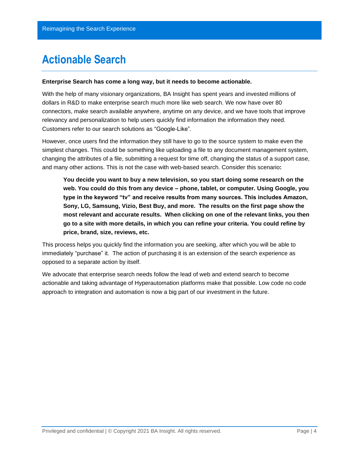## **Actionable Search**

#### **Enterprise Search has come a long way, but it needs to become actionable.**

With the help of many visionary organizations, BA Insight has spent years and invested millions of dollars in R&D to make enterprise search much more like web search. We now have over 80 connectors, make search available anywhere, anytime on any device, and we have tools that improve relevancy and personalization to help users quickly find information the information they need. Customers refer to our search solutions as "Google-Like".

However, once users find the information they still have to go to the source system to make even the simplest changes. This could be something like uploading a file to any document management system, changing the attributes of a file, submitting a request for time off, changing the status of a support case, and many other actions. This is not the case with web-based search. Consider this scenario**:**

**You decide you want to buy a new television, so you start doing some research on the web. You could do this from any device – phone, tablet, or computer. Using Google, you type in the keyword "tv" and receive results from many sources. This includes Amazon, Sony, LG, Samsung, Vizio, Best Buy, and more. The results on the first page show the most relevant and accurate results. When clicking on one of the relevant links, you then go to a site with more details, in which you can refine your criteria. You could refine by price, brand, size, reviews, etc.** 

This process helps you quickly find the information you are seeking, after which you will be able to immediately "purchase" it. The action of purchasing it is an extension of the search experience as opposed to a separate action by itself.

We advocate that enterprise search needs follow the lead of web and extend search to become actionable and taking advantage of Hyperautomation platforms make that possible. Low code no code approach to integration and automation is now a big part of our investment in the future.